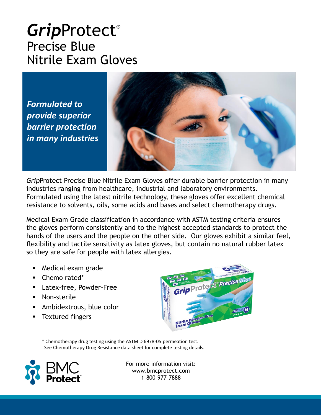#### *Grip*Protect® Precise Blue Nitrile Exam Gloves

*Formulated to provide superior barrier protection in many industries*



*Grip*Protect Precise Blue Nitrile Exam Gloves offer durable barrier protection in many industries ranging from healthcare, industrial and laboratory environments. Formulated using the latest nitrile technology, these gloves offer excellent chemical resistance to solvents, oils, some acids and bases and select chemotherapy drugs.

Medical Exam Grade classification in accordance with ASTM testing criteria ensures the gloves perform consistently and to the highest accepted standards to protect the hands of the users and the people on the other side. Our gloves exhibit a similar feel, flexibility and tactile sensitivity as latex gloves, but contain no natural rubber latex so they are safe for people with latex allergies.

- Medical exam grade
- Chemo rated\*
- Latex-free, Powder-Free
- Non-sterile
- **EXECUTE:** Ambidextrous, blue color
- Textured fingers



\* Chemotherapy drug testing using the ASTM D 6978-05 permeation test. See Chemotherapy Drug Resistance data sheet for complete testing details.

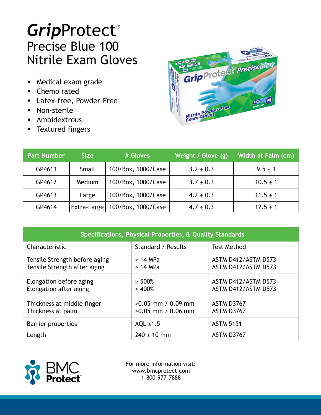# *Grip*Protect® Precise Blue 100 Nitrile Exam Gloves

- Medical exam grade
- Chemo rated
- Latex-free, Powder-Free
- Non-sterile
- **E** Ambidextrous
- **EXTEL TEXT** Textured fingers



| <b>Part Number</b> | <b>Size</b> | # Gloves           | Weight / Glove (g) | Width at Palm (cm) |
|--------------------|-------------|--------------------|--------------------|--------------------|
| GP4611             | Small       | 100/Box, 1000/Case | $3.2 \pm 0.3$      | $9.5 \pm 1$        |
| GP4612             | Medium      | 100/Box, 1000/Case | $3.7 \pm 0.3$      | $10.5 \pm 1$       |
| GP4613             | Large       | 100/Box, 1000/Case | $4.2 \pm 0.3$      | $11.5 \pm 1$       |
| GP4614             | Extra-Large | 100/Box, 1000/Case | $4.7 \pm 0.3$      | $12.5 \pm 1$       |

| Specifications, Physical Properties, & Quality Standards      |                                              |                                            |  |  |  |
|---------------------------------------------------------------|----------------------------------------------|--------------------------------------------|--|--|--|
| Characteristic                                                | Standard / Results                           | <b>Test Method</b>                         |  |  |  |
| Tensile Strength before aging<br>Tensile Strength after aging | $>14$ MPa<br>$>14$ MPa                       | ASTM D412/ASTM D573<br>ASTM D412/ASTM D573 |  |  |  |
| Elongation before aging<br>Elongation after aging             | $> 500\%$<br>> 400%                          | ASTM D412/ASTM D573<br>ASTM D412/ASTM D573 |  |  |  |
| Thickness at middle finger<br>Thickness at palm               | $>0.05$ mm / 0.09 mm<br>$>0.05$ mm / 0.06 mm | ASTM D3767<br>ASTM D3767                   |  |  |  |
| Barrier properties                                            | AQL $\leq 1.5$                               | <b>ASTM 5151</b>                           |  |  |  |
| Length                                                        | $240 \pm 10$ mm                              | ASTM D3767                                 |  |  |  |

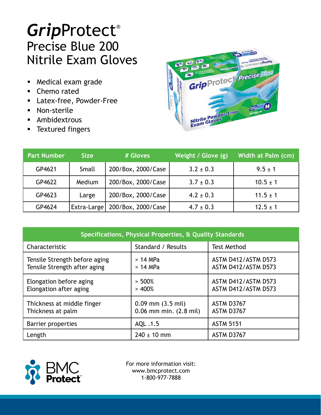# *Grip*Protect® Precise Blue 200 Nitrile Exam Gloves

- Medical exam grade
- Chemo rated
- Latex-free, Powder-Free
- Non-sterile
- **E** Ambidextrous
- **EXTEL TEXT** Textured fingers



| <b>Part Number</b> | <b>Size</b>         | # Gloves           | Weight / Glove (g) | Width at Palm (cm) |
|--------------------|---------------------|--------------------|--------------------|--------------------|
| GP4621             | Small               | 200/Box, 2000/Case | $3.2 \pm 0.3$      | $9.5 \pm 1$        |
| GP4622             | Medium              | 200/Box, 2000/Case | $3.7 \pm 0.3$      | $10.5 \pm 1$       |
| GP4623             | Large               | 200/Box, 2000/Case | $4.2 \pm 0.3$      | $11.5 \pm 1$       |
| GP4624             | <b>Extra-Largel</b> | 200/Box, 2000/Case | $4.7 \pm 0.3$      | $12.5 \pm 1$       |

| Specifications, Physical Properties, & Quality Standards      |                                                     |                                            |  |  |  |
|---------------------------------------------------------------|-----------------------------------------------------|--------------------------------------------|--|--|--|
| Characteristic                                                | Standard / Results                                  | <b>Test Method</b>                         |  |  |  |
| Tensile Strength before aging<br>Tensile Strength after aging | $>14$ MPa<br>$>14$ MPa                              | ASTM D412/ASTM D573<br>ASTM D412/ASTM D573 |  |  |  |
| Elongation before aging<br>Elongation after aging             | $> 500\%$<br>> 400%                                 | ASTM D412/ASTM D573<br>ASTM D412/ASTM D573 |  |  |  |
| Thickness at middle finger<br>Thickness at palm               | $0.09$ mm $(3.5$ mil)<br>$0.06$ mm min. $(2.8$ mil) | ASTM D3767<br>ASTM D3767                   |  |  |  |
| Barrier properties                                            | AQL .1.5                                            | <b>ASTM 5151</b>                           |  |  |  |
| Length                                                        | $240 \pm 10$ mm                                     | ASTM D3767                                 |  |  |  |